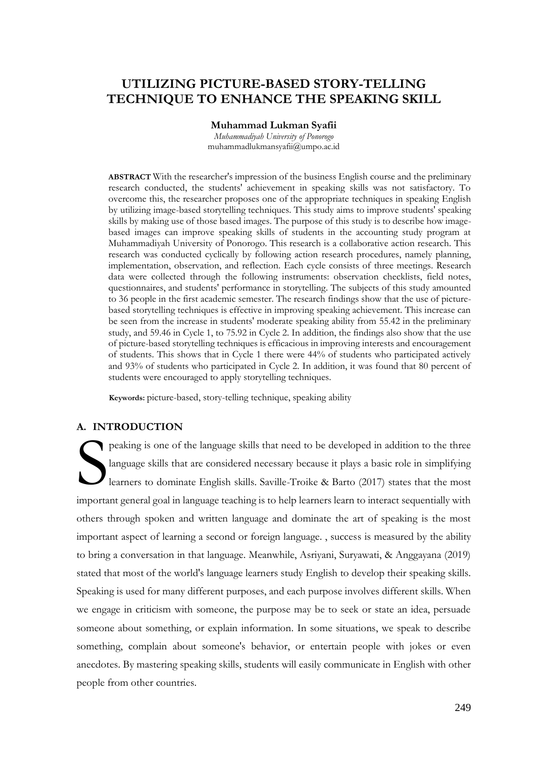# **UTILIZING PICTURE-BASED STORY-TELLING TECHNIQUE TO ENHANCE THE SPEAKING SKILL**

### **Muhammad Lukman Syafii**

*Muhammadiyah University of Ponorogo* muhammadlukmansyafii@umpo.ac.id

**ABSTRACT** With the researcher's impression of the business English course and the preliminary research conducted, the students' achievement in speaking skills was not satisfactory. To overcome this, the researcher proposes one of the appropriate techniques in speaking English by utilizing image-based storytelling techniques. This study aims to improve students' speaking skills by making use of those based images. The purpose of this study is to describe how imagebased images can improve speaking skills of students in the accounting study program at Muhammadiyah University of Ponorogo. This research is a collaborative action research. This research was conducted cyclically by following action research procedures, namely planning, implementation, observation, and reflection. Each cycle consists of three meetings. Research data were collected through the following instruments: observation checklists, field notes, questionnaires, and students' performance in storytelling. The subjects of this study amounted to 36 people in the first academic semester. The research findings show that the use of picturebased storytelling techniques is effective in improving speaking achievement. This increase can be seen from the increase in students' moderate speaking ability from 55.42 in the preliminary study, and 59.46 in Cycle 1, to 75.92 in Cycle 2. In addition, the findings also show that the use of picture-based storytelling techniques is efficacious in improving interests and encouragement of students. This shows that in Cycle 1 there were 44% of students who participated actively and 93% of students who participated in Cycle 2. In addition, it was found that 80 percent of students were encouraged to apply storytelling techniques.

**Keywords:** picture-based, story-telling technique, speaking ability

### **A. INTRODUCTION**

peaking is one of the language skills that need to be developed in addition to the three language skills that are considered necessary because it plays a basic role in simplifying learners to dominate English skills. Saville-Troike & Barto (2017) states that the most important general goal in language teaching is to help learners learn to interact sequentially with others through spoken and written language and dominate the art of speaking is the most important aspect of learning a second or foreign language. , success is measured by the ability to bring a conversation in that language. Meanwhile, Asriyani, Suryawati, & Anggayana (2019) stated that most of the world's language learners study English to develop their speaking skills. Speaking is used for many different purposes, and each purpose involves different skills. When we engage in criticism with someone, the purpose may be to seek or state an idea, persuade someone about something, or explain information. In some situations, we speak to describe something, complain about someone's behavior, or entertain people with jokes or even anecdotes. By mastering speaking skills, students will easily communicate in English with other people from other countries. S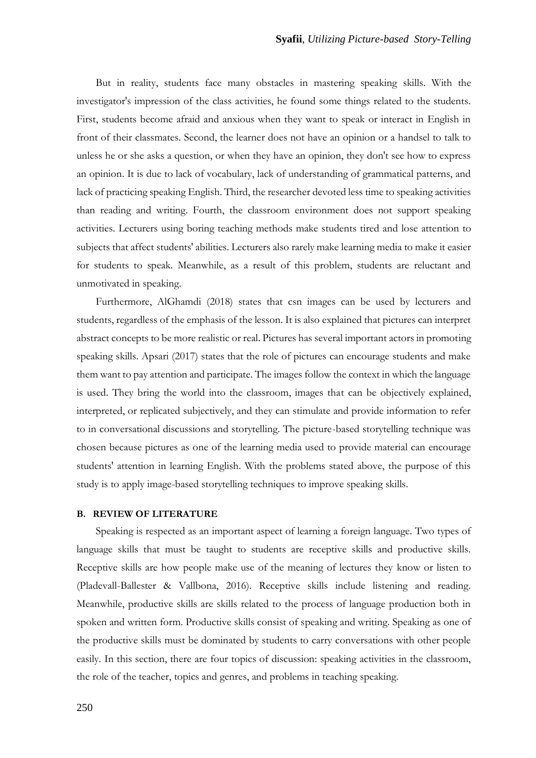But in reality, students face many obstacles in mastering speaking skills. With the investigator's impression of the class activities, he found some things related to the students. First, students become afraid and anxious when they want to speak or interact in English in front of their classmates. Second, the learner does not have an opinion or a handsel to talk to unless he or she asks a question, or when they have an opinion, they don't see how to express an opinion. It is due to lack of vocabulary, lack of understanding of grammatical patterns, and lack of practicing speaking English. Third, the researcher devoted less time to speaking activities than reading and writing. Fourth, the classroom environment does not support speaking activities. Lecturers using boring teaching methods make students tired and lose attention to subjects that affect students' abilities. Lecturers also rarely make learning media to make it easier for students to speak. Meanwhile, as a result of this problem, students are reluctant and unmotivated in speaking.

Furthermore, AlGhamdi (2018) states that csn images can be used by lecturers and students, regardless of the emphasis of the lesson. It is also explained that pictures can interpret abstract concepts to be more realistic or real. Pictures has several important actors in promoting speaking skills. Apsari (2017) states that the role of pictures can encourage students and make them want to pay attention and participate. The images follow the context in which the language is used. They bring the world into the classroom, images that can be objectively explained, interpreted, or replicated subjectively, and they can stimulate and provide information to refer to in conversational discussions and storytelling. The picture-based storytelling technique was chosen because pictures as one of the learning media used to provide material can encourage students' attention in learning English. With the problems stated above, the purpose of this study is to apply image-based storytelling techniques to improve speaking skills.

### **B. REVIEW OF LITERATURE**

Speaking is respected as an important aspect of learning a foreign language. Two types of language skills that must be taught to students are receptive skills and productive skills. Receptive skills are how people make use of the meaning of lectures they know or listen to (Pladevall-Ballester & Vallbona, 2016). Receptive skills include listening and reading. Meanwhile, productive skills are skills related to the process of language production both in spoken and written form. Productive skills consist of speaking and writing. Speaking as one of the productive skills must be dominated by students to carry conversations with other people easily. In this section, there are four topics of discussion: speaking activities in the classroom, the role of the teacher, topics and genres, and problems in teaching speaking.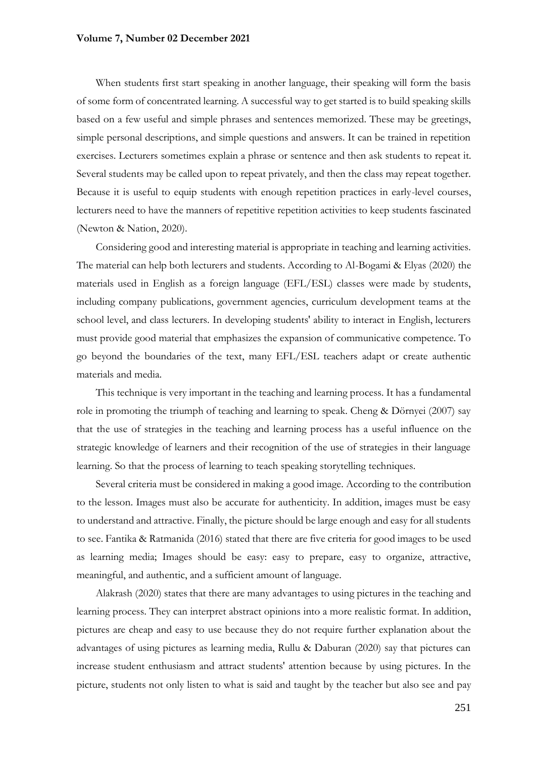When students first start speaking in another language, their speaking will form the basis of some form of concentrated learning. A successful way to get started is to build speaking skills based on a few useful and simple phrases and sentences memorized. These may be greetings, simple personal descriptions, and simple questions and answers. It can be trained in repetition exercises. Lecturers sometimes explain a phrase or sentence and then ask students to repeat it. Several students may be called upon to repeat privately, and then the class may repeat together. Because it is useful to equip students with enough repetition practices in early-level courses, lecturers need to have the manners of repetitive repetition activities to keep students fascinated (Newton & Nation, 2020).

Considering good and interesting material is appropriate in teaching and learning activities. The material can help both lecturers and students. According to Al-Bogami & Elyas (2020) the materials used in English as a foreign language (EFL/ESL) classes were made by students, including company publications, government agencies, curriculum development teams at the school level, and class lecturers. In developing students' ability to interact in English, lecturers must provide good material that emphasizes the expansion of communicative competence. To go beyond the boundaries of the text, many EFL/ESL teachers adapt or create authentic materials and media.

This technique is very important in the teaching and learning process. It has a fundamental role in promoting the triumph of teaching and learning to speak. Cheng & Dörnyei (2007) say that the use of strategies in the teaching and learning process has a useful influence on the strategic knowledge of learners and their recognition of the use of strategies in their language learning. So that the process of learning to teach speaking storytelling techniques.

Several criteria must be considered in making a good image. According to the contribution to the lesson. Images must also be accurate for authenticity. In addition, images must be easy to understand and attractive. Finally, the picture should be large enough and easy for all students to see. Fantika & Ratmanida (2016) stated that there are five criteria for good images to be used as learning media; Images should be easy: easy to prepare, easy to organize, attractive, meaningful, and authentic, and a sufficient amount of language.

Alakrash (2020) states that there are many advantages to using pictures in the teaching and learning process. They can interpret abstract opinions into a more realistic format. In addition, pictures are cheap and easy to use because they do not require further explanation about the advantages of using pictures as learning media, Rullu & Daburan (2020) say that pictures can increase student enthusiasm and attract students' attention because by using pictures. In the picture, students not only listen to what is said and taught by the teacher but also see and pay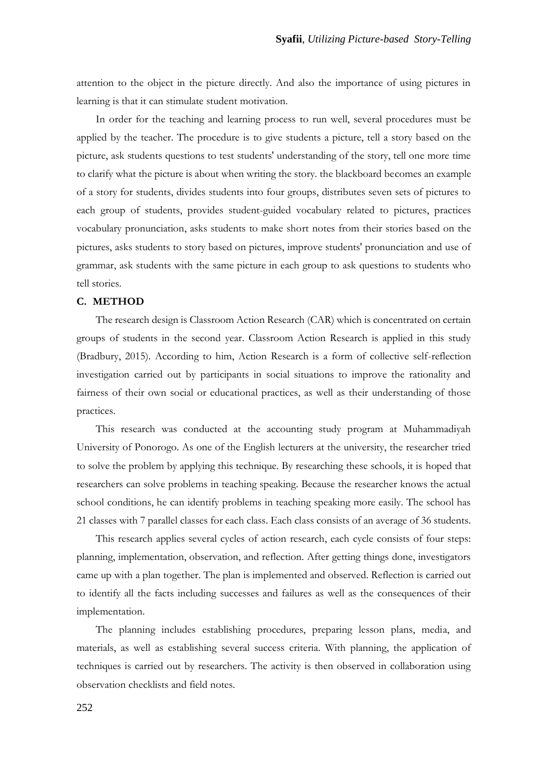attention to the object in the picture directly. And also the importance of using pictures in learning is that it can stimulate student motivation.

In order for the teaching and learning process to run well, several procedures must be applied by the teacher. The procedure is to give students a picture, tell a story based on the picture, ask students questions to test students' understanding of the story, tell one more time to clarify what the picture is about when writing the story. the blackboard becomes an example of a story for students, divides students into four groups, distributes seven sets of pictures to each group of students, provides student-guided vocabulary related to pictures, practices vocabulary pronunciation, asks students to make short notes from their stories based on the pictures, asks students to story based on pictures, improve students' pronunciation and use of grammar, ask students with the same picture in each group to ask questions to students who tell stories.

### **C. METHOD**

The research design is Classroom Action Research (CAR) which is concentrated on certain groups of students in the second year. Classroom Action Research is applied in this study (Bradbury, 2015). According to him, Action Research is a form of collective self-reflection investigation carried out by participants in social situations to improve the rationality and fairness of their own social or educational practices, as well as their understanding of those practices.

This research was conducted at the accounting study program at Muhammadiyah University of Ponorogo. As one of the English lecturers at the university, the researcher tried to solve the problem by applying this technique. By researching these schools, it is hoped that researchers can solve problems in teaching speaking. Because the researcher knows the actual school conditions, he can identify problems in teaching speaking more easily. The school has 21 classes with 7 parallel classes for each class. Each class consists of an average of 36 students.

This research applies several cycles of action research, each cycle consists of four steps: planning, implementation, observation, and reflection. After getting things done, investigators came up with a plan together. The plan is implemented and observed. Reflection is carried out to identify all the facts including successes and failures as well as the consequences of their implementation.

The planning includes establishing procedures, preparing lesson plans, media, and materials, as well as establishing several success criteria. With planning, the application of techniques is carried out by researchers. The activity is then observed in collaboration using observation checklists and field notes.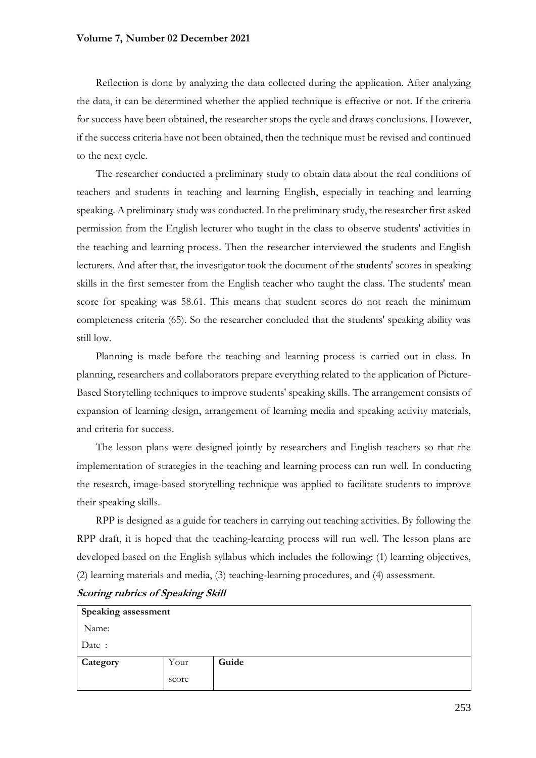Reflection is done by analyzing the data collected during the application. After analyzing the data, it can be determined whether the applied technique is effective or not. If the criteria for success have been obtained, the researcher stops the cycle and draws conclusions. However, if the success criteria have not been obtained, then the technique must be revised and continued to the next cycle.

The researcher conducted a preliminary study to obtain data about the real conditions of teachers and students in teaching and learning English, especially in teaching and learning speaking. A preliminary study was conducted. In the preliminary study, the researcher first asked permission from the English lecturer who taught in the class to observe students' activities in the teaching and learning process. Then the researcher interviewed the students and English lecturers. And after that, the investigator took the document of the students' scores in speaking skills in the first semester from the English teacher who taught the class. The students' mean score for speaking was 58.61. This means that student scores do not reach the minimum completeness criteria (65). So the researcher concluded that the students' speaking ability was still low.

Planning is made before the teaching and learning process is carried out in class. In planning, researchers and collaborators prepare everything related to the application of Picture-Based Storytelling techniques to improve students' speaking skills. The arrangement consists of expansion of learning design, arrangement of learning media and speaking activity materials, and criteria for success.

The lesson plans were designed jointly by researchers and English teachers so that the implementation of strategies in the teaching and learning process can run well. In conducting the research, image-based storytelling technique was applied to facilitate students to improve their speaking skills.

RPP is designed as a guide for teachers in carrying out teaching activities. By following the RPP draft, it is hoped that the teaching-learning process will run well. The lesson plans are developed based on the English syllabus which includes the following: (1) learning objectives, (2) learning materials and media, (3) teaching-learning procedures, and (4) assessment.

| Speaking assessment |       |       |  |  |
|---------------------|-------|-------|--|--|
| Name:               |       |       |  |  |
| Date:               |       |       |  |  |
| Category            | Your  | Guide |  |  |
|                     | score |       |  |  |

**Scoring rubrics of Speaking Skill**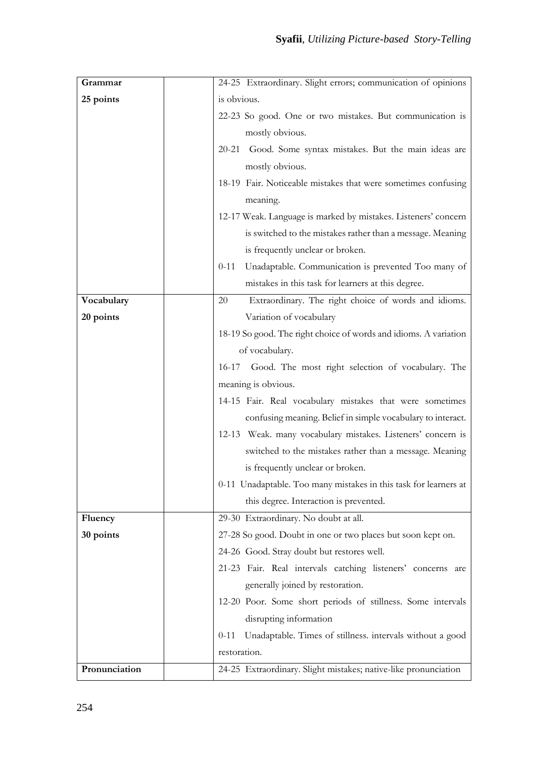| Grammar       | 24-25 Extraordinary. Slight errors; communication of opinions         |
|---------------|-----------------------------------------------------------------------|
| 25 points     | is obvious.                                                           |
|               | 22-23 So good. One or two mistakes. But communication is              |
|               | mostly obvious.                                                       |
|               | 20-21 Good. Some syntax mistakes. But the main ideas are              |
|               | mostly obvious.                                                       |
|               | 18-19 Fair. Noticeable mistakes that were sometimes confusing         |
|               | meaning.                                                              |
|               | 12-17 Weak. Language is marked by mistakes. Listeners' concern        |
|               | is switched to the mistakes rather than a message. Meaning            |
|               | is frequently unclear or broken.                                      |
|               | Unadaptable. Communication is prevented Too many of<br>$0 - 11$       |
|               | mistakes in this task for learners at this degree.                    |
| Vocabulary    | Extraordinary. The right choice of words and idioms.<br>20            |
| 20 points     | Variation of vocabulary                                               |
|               | 18-19 So good. The right choice of words and idioms. A variation      |
|               | of vocabulary.                                                        |
|               | 16-17 Good. The most right selection of vocabulary. The               |
|               | meaning is obvious.                                                   |
|               | 14-15 Fair. Real vocabulary mistakes that were sometimes              |
|               | confusing meaning. Belief in simple vocabulary to interact.           |
|               | 12-13 Weak. many vocabulary mistakes. Listeners' concern is           |
|               | switched to the mistakes rather than a message. Meaning               |
|               | is frequently unclear or broken.                                      |
|               | 0-11 Unadaptable. Too many mistakes in this task for learners at      |
|               | this degree. Interaction is prevented.                                |
| Fluency       | 29-30 Extraordinary. No doubt at all.                                 |
| 30 points     | 27-28 So good. Doubt in one or two places but soon kept on.           |
|               | 24-26 Good. Stray doubt but restores well.                            |
|               | 21-23 Fair. Real intervals catching listeners' concerns are           |
|               | generally joined by restoration.                                      |
|               | 12-20 Poor. Some short periods of stillness. Some intervals           |
|               | disrupting information                                                |
|               | Unadaptable. Times of stillness. intervals without a good<br>$0 - 11$ |
|               | restoration.                                                          |
| Pronunciation | 24-25 Extraordinary. Slight mistakes; native-like pronunciation       |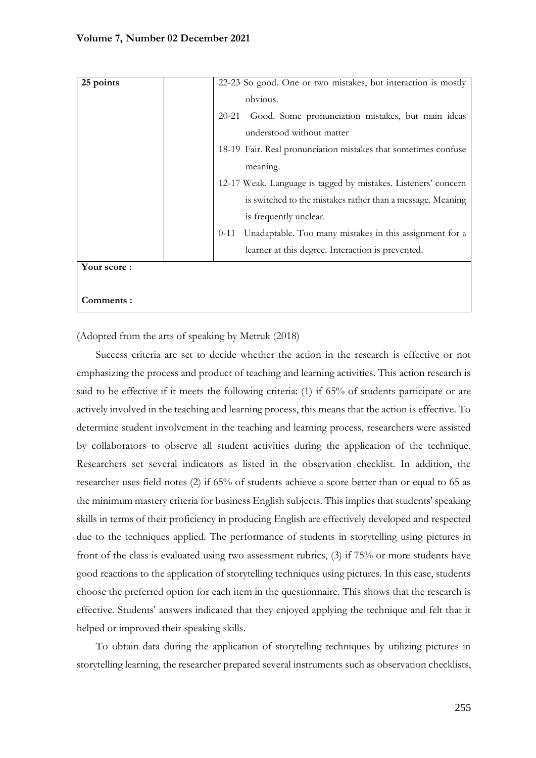| 25 points   |           | 22-23 So good. One or two mistakes, but interaction is mostly  |
|-------------|-----------|----------------------------------------------------------------|
|             | obvious.  |                                                                |
|             | $20 - 21$ | Good. Some pronunciation mistakes, but main ideas              |
|             |           | understood without matter                                      |
|             |           | 18-19 Fair. Real pronunciation mistakes that sometimes confuse |
|             | meaning.  |                                                                |
|             |           | 12-17 Weak. Language is tagged by mistakes. Listeners' concern |
|             |           | is switched to the mistakes rather than a message. Meaning     |
|             |           | is frequently unclear.                                         |
|             | $0 - 11$  | Unadaptable. Too many mistakes in this assignment for a        |
|             |           | learner at this degree. Interaction is prevented.              |
| Your score: |           |                                                                |
|             |           |                                                                |
| Comments:   |           |                                                                |

(Adopted from the arts of speaking by Metruk (2018)

Success criteria are set to decide whether the action in the research is effective or not emphasizing the process and product of teaching and learning activities. This action research is said to be effective if it meets the following criteria: (1) if 65% of students participate or are actively involved in the teaching and learning process, this means that the action is effective. To determine student involvement in the teaching and learning process, researchers were assisted by collaborators to observe all student activities during the application of the technique. Researchers set several indicators as listed in the observation checklist. In addition, the researcher uses field notes (2) if 65% of students achieve a score better than or equal to 65 as the minimum mastery criteria for business English subjects. This implies that students' speaking skills in terms of their proficiency in producing English are effectively developed and respected due to the techniques applied. The performance of students in storytelling using pictures in front of the class is evaluated using two assessment rubrics, (3) if 75% or more students have good reactions to the application of storytelling techniques using pictures. In this case, students choose the preferred option for each item in the questionnaire. This shows that the research is effective. Students' answers indicated that they enjoyed applying the technique and felt that it helped or improved their speaking skills.

To obtain data during the application of storytelling techniques by utilizing pictures in storytelling learning, the researcher prepared several instruments such as observation checklists,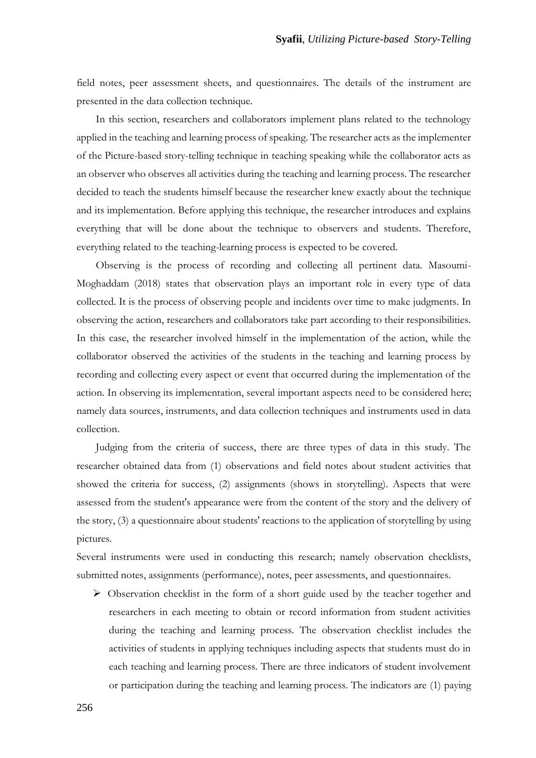field notes, peer assessment sheets, and questionnaires. The details of the instrument are presented in the data collection technique.

In this section, researchers and collaborators implement plans related to the technology applied in the teaching and learning process of speaking. The researcher acts as the implementer of the Picture-based story-telling technique in teaching speaking while the collaborator acts as an observer who observes all activities during the teaching and learning process. The researcher decided to teach the students himself because the researcher knew exactly about the technique and its implementation. Before applying this technique, the researcher introduces and explains everything that will be done about the technique to observers and students. Therefore, everything related to the teaching-learning process is expected to be covered.

Observing is the process of recording and collecting all pertinent data. Masoumi-Moghaddam (2018) states that observation plays an important role in every type of data collected. It is the process of observing people and incidents over time to make judgments. In observing the action, researchers and collaborators take part according to their responsibilities. In this case, the researcher involved himself in the implementation of the action, while the collaborator observed the activities of the students in the teaching and learning process by recording and collecting every aspect or event that occurred during the implementation of the action. In observing its implementation, several important aspects need to be considered here; namely data sources, instruments, and data collection techniques and instruments used in data collection.

Judging from the criteria of success, there are three types of data in this study. The researcher obtained data from (1) observations and field notes about student activities that showed the criteria for success, (2) assignments (shows in storytelling). Aspects that were assessed from the student's appearance were from the content of the story and the delivery of the story, (3) a questionnaire about students' reactions to the application of storytelling by using pictures.

Several instruments were used in conducting this research; namely observation checklists, submitted notes, assignments (performance), notes, peer assessments, and questionnaires.

 $\triangleright$  Observation checklist in the form of a short guide used by the teacher together and researchers in each meeting to obtain or record information from student activities during the teaching and learning process. The observation checklist includes the activities of students in applying techniques including aspects that students must do in each teaching and learning process. There are three indicators of student involvement or participation during the teaching and learning process. The indicators are (1) paying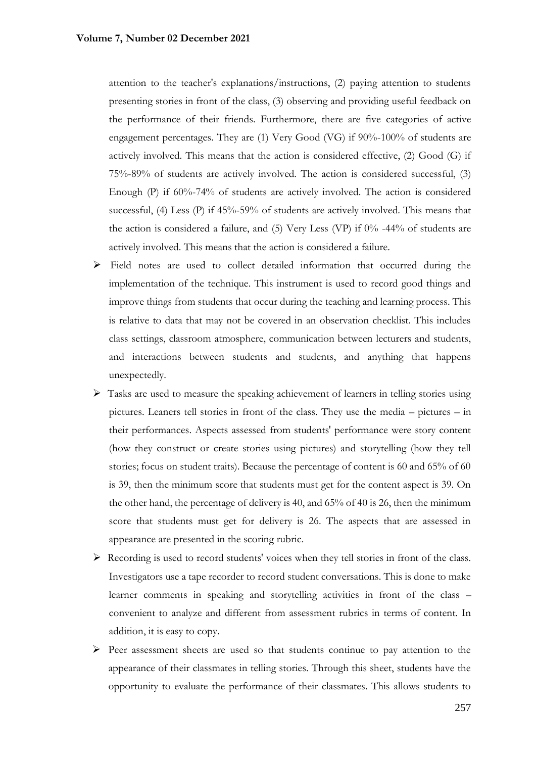attention to the teacher's explanations/instructions, (2) paying attention to students presenting stories in front of the class, (3) observing and providing useful feedback on the performance of their friends. Furthermore, there are five categories of active engagement percentages. They are (1) Very Good (VG) if 90%-100% of students are actively involved. This means that the action is considered effective, (2) Good (G) if 75%-89% of students are actively involved. The action is considered successful, (3) Enough (P) if 60%-74% of students are actively involved. The action is considered successful, (4) Less (P) if 45%-59% of students are actively involved. This means that the action is considered a failure, and (5) Very Less (VP) if 0% -44% of students are actively involved. This means that the action is considered a failure.

- ➢ Field notes are used to collect detailed information that occurred during the implementation of the technique. This instrument is used to record good things and improve things from students that occur during the teaching and learning process. This is relative to data that may not be covered in an observation checklist. This includes class settings, classroom atmosphere, communication between lecturers and students, and interactions between students and students, and anything that happens unexpectedly.
- ➢ Tasks are used to measure the speaking achievement of learners in telling stories using pictures. Leaners tell stories in front of the class. They use the media – pictures – in their performances. Aspects assessed from students' performance were story content (how they construct or create stories using pictures) and storytelling (how they tell stories; focus on student traits). Because the percentage of content is 60 and 65% of 60 is 39, then the minimum score that students must get for the content aspect is 39. On the other hand, the percentage of delivery is 40, and 65% of 40 is 26, then the minimum score that students must get for delivery is 26. The aspects that are assessed in appearance are presented in the scoring rubric.
- ➢ Recording is used to record students' voices when they tell stories in front of the class. Investigators use a tape recorder to record student conversations. This is done to make learner comments in speaking and storytelling activities in front of the class – convenient to analyze and different from assessment rubrics in terms of content. In addition, it is easy to copy.
- ➢ Peer assessment sheets are used so that students continue to pay attention to the appearance of their classmates in telling stories. Through this sheet, students have the opportunity to evaluate the performance of their classmates. This allows students to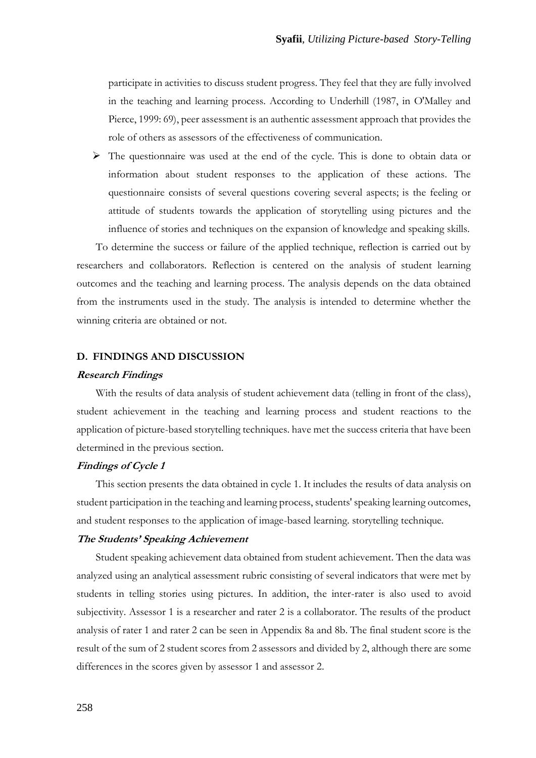participate in activities to discuss student progress. They feel that they are fully involved in the teaching and learning process. According to Underhill (1987, in O'Malley and Pierce, 1999: 69), peer assessment is an authentic assessment approach that provides the role of others as assessors of the effectiveness of communication.

 $\triangleright$  The questionnaire was used at the end of the cycle. This is done to obtain data or information about student responses to the application of these actions. The questionnaire consists of several questions covering several aspects; is the feeling or attitude of students towards the application of storytelling using pictures and the influence of stories and techniques on the expansion of knowledge and speaking skills.

To determine the success or failure of the applied technique, reflection is carried out by researchers and collaborators. Reflection is centered on the analysis of student learning outcomes and the teaching and learning process. The analysis depends on the data obtained from the instruments used in the study. The analysis is intended to determine whether the winning criteria are obtained or not.

### **D. FINDINGS AND DISCUSSION**

#### **Research Findings**

With the results of data analysis of student achievement data (telling in front of the class), student achievement in the teaching and learning process and student reactions to the application of picture-based storytelling techniques. have met the success criteria that have been determined in the previous section.

### **Findings of Cycle 1**

This section presents the data obtained in cycle 1. It includes the results of data analysis on student participation in the teaching and learning process, students' speaking learning outcomes, and student responses to the application of image-based learning. storytelling technique.

### **The Students' Speaking Achievement**

Student speaking achievement data obtained from student achievement. Then the data was analyzed using an analytical assessment rubric consisting of several indicators that were met by students in telling stories using pictures. In addition, the inter-rater is also used to avoid subjectivity. Assessor 1 is a researcher and rater 2 is a collaborator. The results of the product analysis of rater 1 and rater 2 can be seen in Appendix 8a and 8b. The final student score is the result of the sum of 2 student scores from 2 assessors and divided by 2, although there are some differences in the scores given by assessor 1 and assessor 2.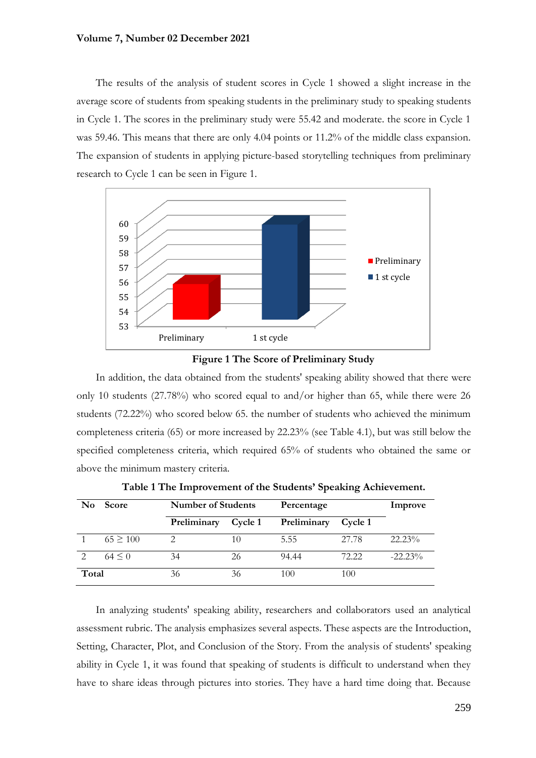The results of the analysis of student scores in Cycle 1 showed a slight increase in the average score of students from speaking students in the preliminary study to speaking students in Cycle 1. The scores in the preliminary study were 55.42 and moderate. the score in Cycle 1 was 59.46. This means that there are only 4.04 points or 11.2% of the middle class expansion. The expansion of students in applying picture-based storytelling techniques from preliminary research to Cycle 1 can be seen in Figure 1.



**Figure 1 The Score of Preliminary Study**

In addition, the data obtained from the students' speaking ability showed that there were only 10 students  $(27.78%)$  who scored equal to and/or higher than 65, while there were 26 students (72.22%) who scored below 65. the number of students who achieved the minimum completeness criteria (65) or more increased by 22.23% (see Table 4.1), but was still below the specified completeness criteria, which required 65% of students who obtained the same or above the minimum mastery criteria.

| No            | Score        | <b>Number of Students</b> |         | Percentage  | Improve |            |
|---------------|--------------|---------------------------|---------|-------------|---------|------------|
|               |              | Preliminary               | Cycle 1 | Preliminary | Cycle 1 |            |
|               | $65 \ge 100$ |                           | 10      | 5.55        | 27.78   | $22.23\%$  |
| $\mathcal{P}$ | $64 \le 0$   | 34                        | 26      | 94.44       | 72.22   | $-22.23\%$ |
| Total         |              | 36                        | 36      | 100         | 100     |            |

**Table 1 The Improvement of the Students' Speaking Achievement.**

In analyzing students' speaking ability, researchers and collaborators used an analytical assessment rubric. The analysis emphasizes several aspects. These aspects are the Introduction, Setting, Character, Plot, and Conclusion of the Story. From the analysis of students' speaking ability in Cycle 1, it was found that speaking of students is difficult to understand when they have to share ideas through pictures into stories. They have a hard time doing that. Because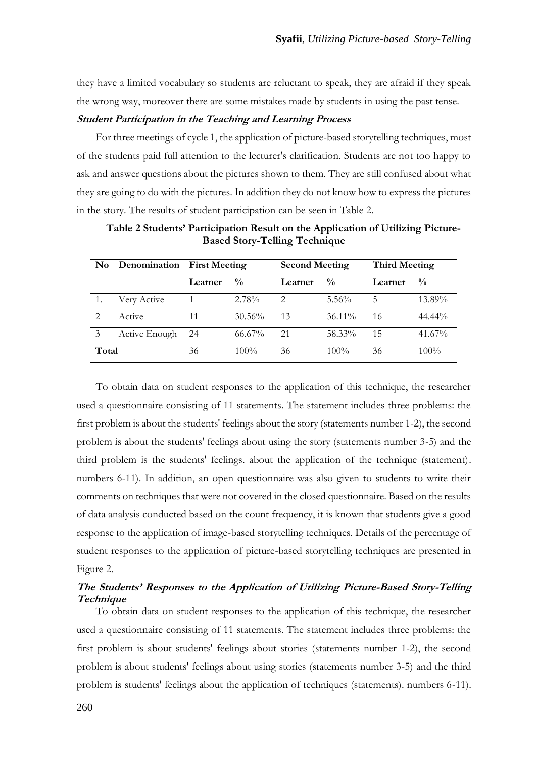they have a limited vocabulary so students are reluctant to speak, they are afraid if they speak the wrong way, moreover there are some mistakes made by students in using the past tense.

### **Student Participation in the Teaching and Learning Process**

For three meetings of cycle 1, the application of picture-based storytelling techniques, most of the students paid full attention to the lecturer's clarification. Students are not too happy to ask and answer questions about the pictures shown to them. They are still confused about what they are going to do with the pictures. In addition they do not know how to express the pictures in the story. The results of student participation can be seen in Table 2.

| No.                         | <b>Denomination</b> First Meeting |         |               | <b>Second Meeting</b>  |               | <b>Third Meeting</b> |               |
|-----------------------------|-----------------------------------|---------|---------------|------------------------|---------------|----------------------|---------------|
|                             |                                   | Learner | $\frac{0}{0}$ | Learner                | $\frac{0}{0}$ | Learner              | $\frac{0}{0}$ |
|                             | Very Active                       |         | 2.78%         | $\mathfrak{D}_{\cdot}$ | $5.56\%$      | 5                    | 13.89%        |
| $\mathcal{D}_{\mathcal{L}}$ | Active                            | 11      | 30.56%        | 13                     | $36.11\%$     | 16                   | $44.44\%$     |
| 3                           | Active Enough                     | 24      | $66.67\%$     | 21                     | 58.33%        | 15                   | 41.67%        |
| Total                       |                                   | 36      | $100\%$       | 36                     | $100\%$       | 36                   | $100\%$       |

**Table 2 Students' Participation Result on the Application of Utilizing Picture-Based Story-Telling Technique**

To obtain data on student responses to the application of this technique, the researcher used a questionnaire consisting of 11 statements. The statement includes three problems: the first problem is about the students' feelings about the story (statements number 1-2), the second problem is about the students' feelings about using the story (statements number 3-5) and the third problem is the students' feelings. about the application of the technique (statement). numbers 6-11). In addition, an open questionnaire was also given to students to write their comments on techniques that were not covered in the closed questionnaire. Based on the results of data analysis conducted based on the count frequency, it is known that students give a good response to the application of image-based storytelling techniques. Details of the percentage of student responses to the application of picture-based storytelling techniques are presented in Figure 2.

## **The Students' Responses to the Application of Utilizing Picture-Based Story-Telling Technique**

To obtain data on student responses to the application of this technique, the researcher used a questionnaire consisting of 11 statements. The statement includes three problems: the first problem is about students' feelings about stories (statements number 1-2), the second problem is about students' feelings about using stories (statements number 3-5) and the third problem is students' feelings about the application of techniques (statements). numbers 6-11).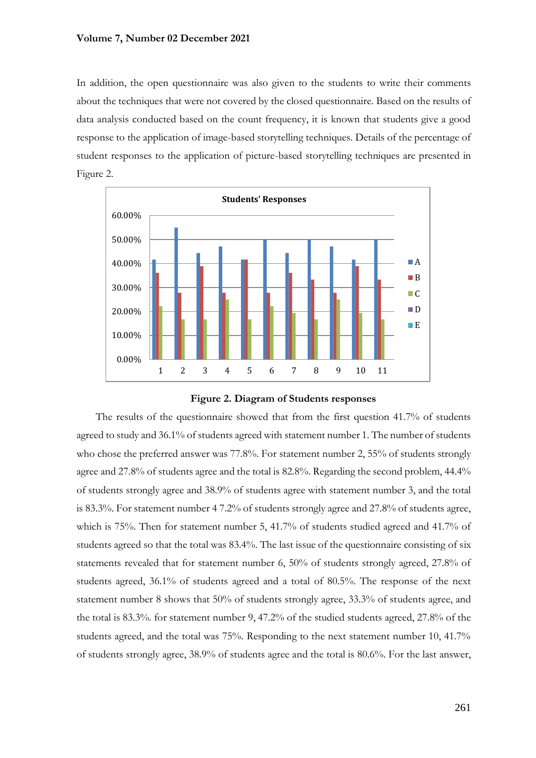In addition, the open questionnaire was also given to the students to write their comments about the techniques that were not covered by the closed questionnaire. Based on the results of data analysis conducted based on the count frequency, it is known that students give a good response to the application of image-based storytelling techniques. Details of the percentage of student responses to the application of picture-based storytelling techniques are presented in Figure 2.





The results of the questionnaire showed that from the first question 41.7% of students agreed to study and 36.1% of students agreed with statement number 1. The number of students who chose the preferred answer was 77.8%. For statement number 2, 55% of students strongly agree and 27.8% of students agree and the total is 82.8%. Regarding the second problem, 44.4% of students strongly agree and 38.9% of students agree with statement number 3, and the total is 83.3%. For statement number 4 7.2% of students strongly agree and 27.8% of students agree, which is 75%. Then for statement number 5, 41.7% of students studied agreed and 41.7% of students agreed so that the total was 83.4%. The last issue of the questionnaire consisting of six statements revealed that for statement number 6, 50% of students strongly agreed, 27.8% of students agreed, 36.1% of students agreed and a total of 80.5%. The response of the next statement number 8 shows that 50% of students strongly agree, 33.3% of students agree, and the total is 83.3%. for statement number 9, 47.2% of the studied students agreed, 27.8% of the students agreed, and the total was 75%. Responding to the next statement number 10, 41.7% of students strongly agree, 38.9% of students agree and the total is 80.6%. For the last answer,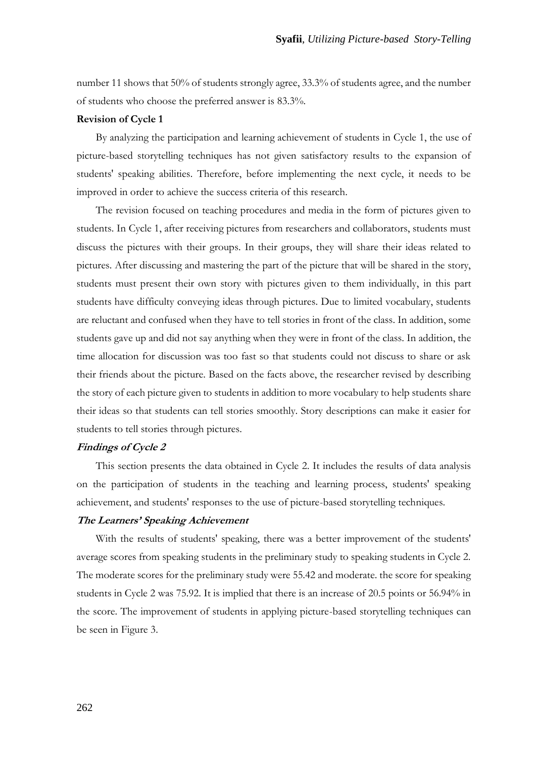number 11 shows that 50% of students strongly agree, 33.3% of students agree, and the number of students who choose the preferred answer is 83.3%.

### **Revision of Cycle 1**

By analyzing the participation and learning achievement of students in Cycle 1, the use of picture-based storytelling techniques has not given satisfactory results to the expansion of students' speaking abilities. Therefore, before implementing the next cycle, it needs to be improved in order to achieve the success criteria of this research.

The revision focused on teaching procedures and media in the form of pictures given to students. In Cycle 1, after receiving pictures from researchers and collaborators, students must discuss the pictures with their groups. In their groups, they will share their ideas related to pictures. After discussing and mastering the part of the picture that will be shared in the story, students must present their own story with pictures given to them individually, in this part students have difficulty conveying ideas through pictures. Due to limited vocabulary, students are reluctant and confused when they have to tell stories in front of the class. In addition, some students gave up and did not say anything when they were in front of the class. In addition, the time allocation for discussion was too fast so that students could not discuss to share or ask their friends about the picture. Based on the facts above, the researcher revised by describing the story of each picture given to students in addition to more vocabulary to help students share their ideas so that students can tell stories smoothly. Story descriptions can make it easier for students to tell stories through pictures.

## **Findings of Cycle 2**

This section presents the data obtained in Cycle 2. It includes the results of data analysis on the participation of students in the teaching and learning process, students' speaking achievement, and students' responses to the use of picture-based storytelling techniques.

### **The Learners' Speaking Achievement**

With the results of students' speaking, there was a better improvement of the students' average scores from speaking students in the preliminary study to speaking students in Cycle 2. The moderate scores for the preliminary study were 55.42 and moderate. the score for speaking students in Cycle 2 was 75.92. It is implied that there is an increase of 20.5 points or 56.94% in the score. The improvement of students in applying picture-based storytelling techniques can be seen in Figure 3.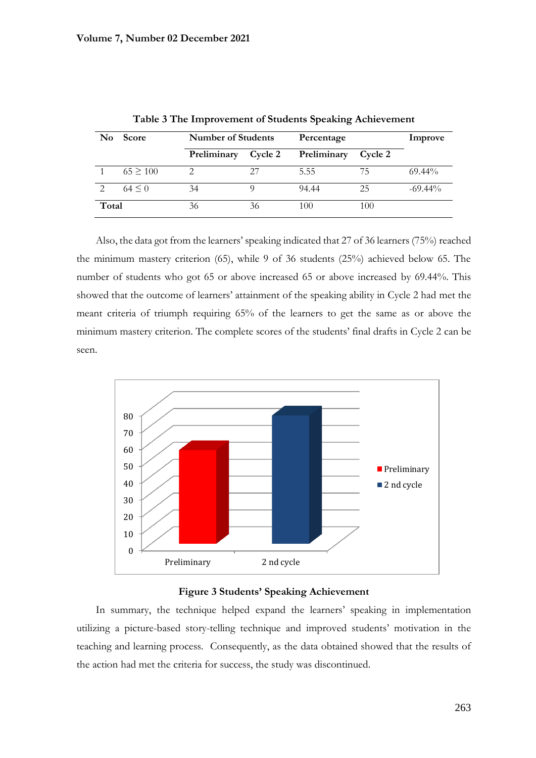| $\mathbf{N}\mathbf{o}$ | <b>Score</b> |             | <b>Number of Students</b> |             | Percentage |            |  |
|------------------------|--------------|-------------|---------------------------|-------------|------------|------------|--|
|                        |              | Preliminary | Cycle 2                   | Preliminary | Cycle 2    |            |  |
|                        | $65 \ge 100$ |             | 27                        | 5.55        | 75         | 69.44%     |  |
| $\mathcal{L}$          | $64 \le 0$   | 34          |                           | 94.44       | 25         | $-69.44\%$ |  |
| Total                  |              | 36          | 36                        | 100         | 100        |            |  |

**Table 3 The Improvement of Students Speaking Achievement**

Also, the data got from the learners' speaking indicated that 27 of 36 learners (75%) reached the minimum mastery criterion (65), while 9 of 36 students (25%) achieved below 65. The number of students who got 65 or above increased 65 or above increased by 69.44%. This showed that the outcome of learners' attainment of the speaking ability in Cycle 2 had met the meant criteria of triumph requiring 65% of the learners to get the same as or above the minimum mastery criterion. The complete scores of the students' final drafts in Cycle 2 can be seen.





In summary, the technique helped expand the learners' speaking in implementation utilizing a picture-based story-telling technique and improved students' motivation in the teaching and learning process. Consequently, as the data obtained showed that the results of the action had met the criteria for success, the study was discontinued.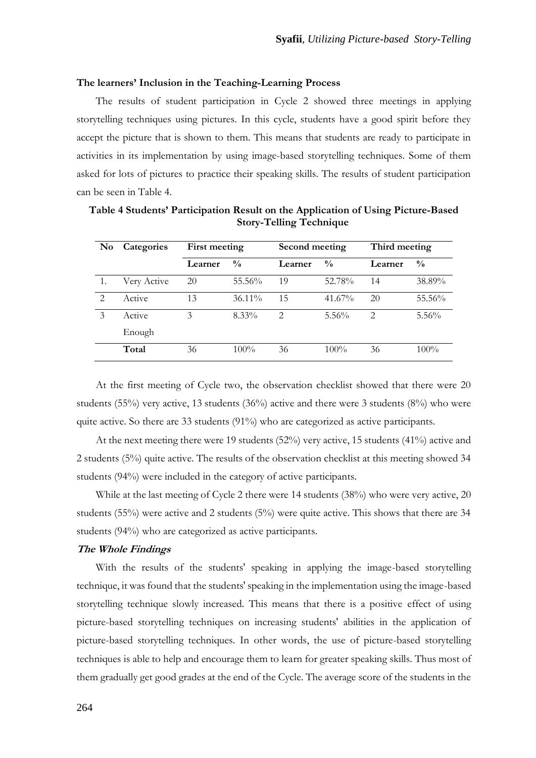### **The learners' Inclusion in the Teaching-Learning Process**

The results of student participation in Cycle 2 showed three meetings in applying storytelling techniques using pictures. In this cycle, students have a good spirit before they accept the picture that is shown to them. This means that students are ready to participate in activities in its implementation by using image-based storytelling techniques. Some of them asked for lots of pictures to practice their speaking skills. The results of student participation can be seen in Table 4.

| No             | Categories  | First meeting |               | Second meeting |               | Third meeting |               |
|----------------|-------------|---------------|---------------|----------------|---------------|---------------|---------------|
|                |             | Learner       | $\frac{0}{0}$ | Learner        | $\frac{0}{0}$ | Learner       | $\frac{0}{0}$ |
|                | Very Active | 20            | 55.56%        | 19             | 52.78%        | 14            | 38.89%        |
| $\mathfrak{D}$ | Active      | 13            | $36.11\%$     | 15             | 41.67%        | 20            | 55.56%        |
| 3              | Active      | 3             | $8.33\%$      | $\overline{2}$ | $5.56\%$      | 2             | $5.56\%$      |
|                | Enough      |               |               |                |               |               |               |
|                | Total       | 36            | $100\%$       | 36             | $100\%$       | 36            | $100\%$       |

**Table 4 Students' Participation Result on the Application of Using Picture-Based Story-Telling Technique**

At the first meeting of Cycle two, the observation checklist showed that there were 20 students (55%) very active, 13 students (36%) active and there were 3 students (8%) who were quite active. So there are 33 students  $(91\%)$  who are categorized as active participants.

At the next meeting there were 19 students (52%) very active, 15 students (41%) active and 2 students (5%) quite active. The results of the observation checklist at this meeting showed 34 students (94%) were included in the category of active participants.

While at the last meeting of Cycle 2 there were 14 students (38%) who were very active, 20 students (55%) were active and 2 students (5%) were quite active. This shows that there are 34 students (94%) who are categorized as active participants.

### **The Whole Findings**

With the results of the students' speaking in applying the image-based storytelling technique, it was found that the students' speaking in the implementation using the image-based storytelling technique slowly increased. This means that there is a positive effect of using picture-based storytelling techniques on increasing students' abilities in the application of picture-based storytelling techniques. In other words, the use of picture-based storytelling techniques is able to help and encourage them to learn for greater speaking skills. Thus most of them gradually get good grades at the end of the Cycle. The average score of the students in the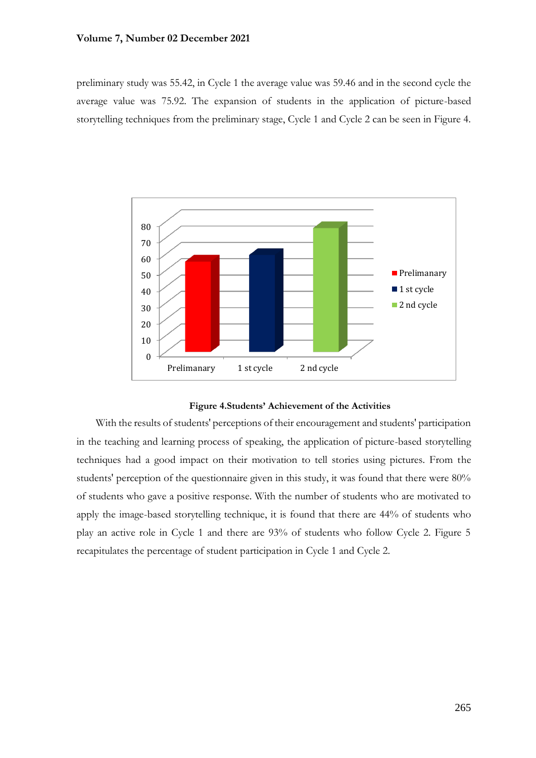preliminary study was 55.42, in Cycle 1 the average value was 59.46 and in the second cycle the average value was 75.92. The expansion of students in the application of picture-based storytelling techniques from the preliminary stage, Cycle 1 and Cycle 2 can be seen in Figure 4.



### **Figure 4.Students' Achievement of the Activities**

With the results of students' perceptions of their encouragement and students' participation in the teaching and learning process of speaking, the application of picture-based storytelling techniques had a good impact on their motivation to tell stories using pictures. From the students' perception of the questionnaire given in this study, it was found that there were 80% of students who gave a positive response. With the number of students who are motivated to apply the image-based storytelling technique, it is found that there are 44% of students who play an active role in Cycle 1 and there are 93% of students who follow Cycle 2. Figure 5 recapitulates the percentage of student participation in Cycle 1 and Cycle 2.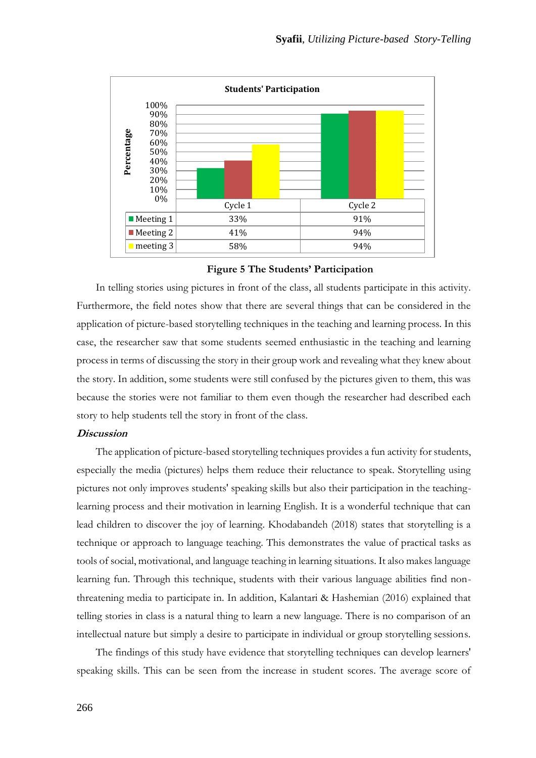

**Figure 5 The Students' Participation**

In telling stories using pictures in front of the class, all students participate in this activity. Furthermore, the field notes show that there are several things that can be considered in the application of picture-based storytelling techniques in the teaching and learning process. In this case, the researcher saw that some students seemed enthusiastic in the teaching and learning process in terms of discussing the story in their group work and revealing what they knew about the story. In addition, some students were still confused by the pictures given to them, this was because the stories were not familiar to them even though the researcher had described each story to help students tell the story in front of the class.

### **Discussion**

The application of picture-based storytelling techniques provides a fun activity for students, especially the media (pictures) helps them reduce their reluctance to speak. Storytelling using pictures not only improves students' speaking skills but also their participation in the teachinglearning process and their motivation in learning English. It is a wonderful technique that can lead children to discover the joy of learning. Khodabandeh (2018) states that storytelling is a technique or approach to language teaching. This demonstrates the value of practical tasks as tools of social, motivational, and language teaching in learning situations. It also makes language learning fun. Through this technique, students with their various language abilities find nonthreatening media to participate in. In addition, Kalantari & Hashemian (2016) explained that telling stories in class is a natural thing to learn a new language. There is no comparison of an intellectual nature but simply a desire to participate in individual or group storytelling sessions.

The findings of this study have evidence that storytelling techniques can develop learners' speaking skills. This can be seen from the increase in student scores. The average score of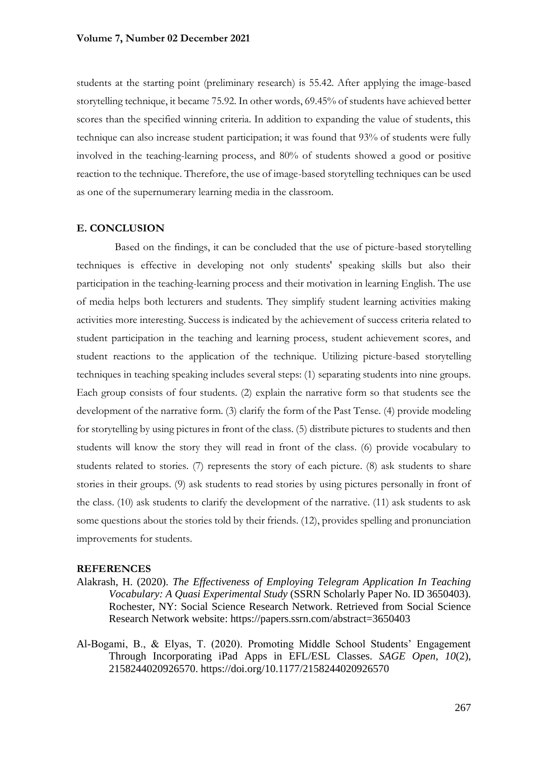students at the starting point (preliminary research) is 55.42. After applying the image-based storytelling technique, it became 75.92. In other words, 69.45% of students have achieved better scores than the specified winning criteria. In addition to expanding the value of students, this technique can also increase student participation; it was found that 93% of students were fully involved in the teaching-learning process, and 80% of students showed a good or positive reaction to the technique. Therefore, the use of image-based storytelling techniques can be used as one of the supernumerary learning media in the classroom.

### **E. CONCLUSION**

Based on the findings, it can be concluded that the use of picture-based storytelling techniques is effective in developing not only students' speaking skills but also their participation in the teaching-learning process and their motivation in learning English. The use of media helps both lecturers and students. They simplify student learning activities making activities more interesting. Success is indicated by the achievement of success criteria related to student participation in the teaching and learning process, student achievement scores, and student reactions to the application of the technique. Utilizing picture-based storytelling techniques in teaching speaking includes several steps: (1) separating students into nine groups. Each group consists of four students. (2) explain the narrative form so that students see the development of the narrative form. (3) clarify the form of the Past Tense. (4) provide modeling for storytelling by using pictures in front of the class. (5) distribute pictures to students and then students will know the story they will read in front of the class. (6) provide vocabulary to students related to stories. (7) represents the story of each picture. (8) ask students to share stories in their groups. (9) ask students to read stories by using pictures personally in front of the class. (10) ask students to clarify the development of the narrative. (11) ask students to ask some questions about the stories told by their friends. (12), provides spelling and pronunciation improvements for students.

### **REFERENCES**

Alakrash, H. (2020). *The Effectiveness of Employing Telegram Application In Teaching Vocabulary: A Quasi Experimental Study* (SSRN Scholarly Paper No. ID 3650403). Rochester, NY: Social Science Research Network. Retrieved from Social Science Research Network website: https://papers.ssrn.com/abstract=3650403

Al-Bogami, B., & Elyas, T. (2020). Promoting Middle School Students' Engagement Through Incorporating iPad Apps in EFL/ESL Classes. *SAGE Open*, *10*(2), 2158244020926570. https://doi.org/10.1177/2158244020926570